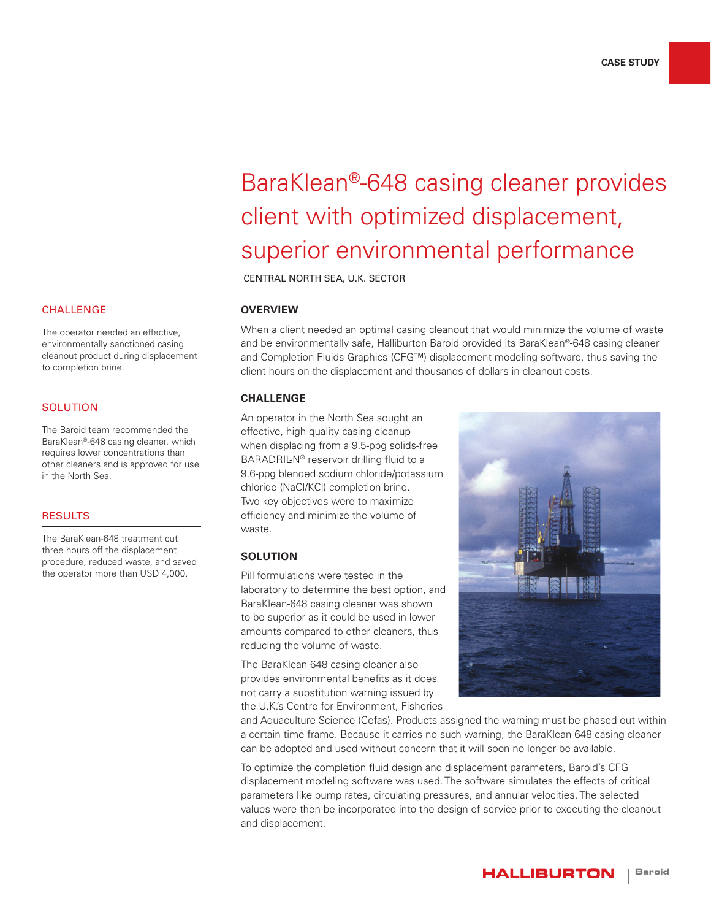# BaraKlean®-648 casing cleaner provides client with optimized displacement, superior environmental performance

CENTRAL NORTH SEA, U.K. SECTOR

# **OVERVIEW**

When a client needed an optimal casing cleanout that would minimize the volume of waste and be environmentally safe, Halliburton Baroid provided its BaraKlean®-648 casing cleaner and Completion Fluids Graphics (CFG™) displacement modeling software, thus saving the client hours on the displacement and thousands of dollars in cleanout costs.

### **CHALLENGE**

An operator in the North Sea sought an effective, high-quality casing cleanup when displacing from a 9.5-ppg solids-free BARADRIL-N® reservoir drilling fluid to a 9.6-ppg blended sodium chloride/potassium chloride (NaCl/KCl) completion brine. Two key objectives were to maximize efficiency and minimize the volume of waste.

# **SOLUTION**

Pill formulations were tested in the laboratory to determine the best option, and BaraKlean-648 casing cleaner was shown to be superior as it could be used in lower amounts compared to other cleaners, thus reducing the volume of waste.

The BaraKlean-648 casing cleaner also provides environmental benefits as it does not carry a substitution warning issued by the U.K.'s Centre for Environment, Fisheries



and Aquaculture Science (Cefas). Products assigned the warning must be phased out within a certain time frame. Because it carries no such warning, the BaraKlean-648 casing cleaner can be adopted and used without concern that it will soon no longer be available.

To optimize the completion fluid design and displacement parameters, Baroid's CFG displacement modeling software was used. The software simulates the effects of critical parameters like pump rates, circulating pressures, and annular velocities. The selected values were then be incorporated into the design of service prior to executing the cleanout and displacement.

#### **CHALLENGE**

The operator needed an effective, environmentally sanctioned casing cleanout product during displacement to completion brine.

### **SOLUTION**

The Baroid team recommended the BaraKlean®-648 casing cleaner, which requires lower concentrations than other cleaners and is approved for use in the North Sea.

#### RESULTS

The BaraKlean-648 treatment cut three hours off the displacement procedure, reduced waste, and saved the operator more than USD 4,000.